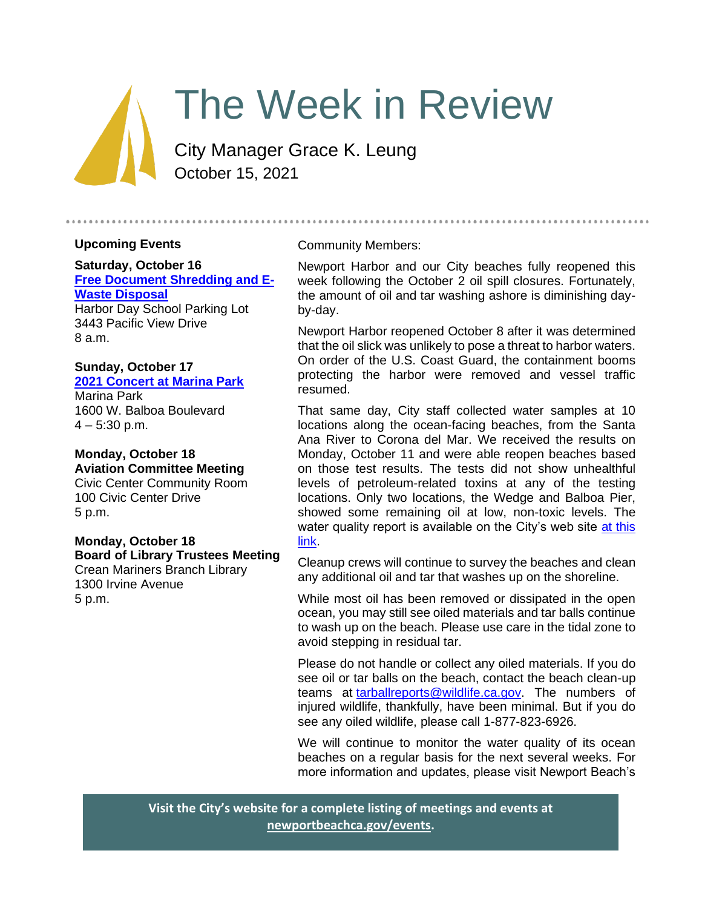

# The Week in Review

City Manager Grace K. Leung October 15, 2021

### **Upcoming Events**

### **Saturday, October 16 [Free Document Shredding and E-](#page-1-0)[Waste Disposal](#page-1-0)**

Harbor Day School Parking Lot 3443 Pacific View Drive 8 a.m.

#### **Sunday, October 17 [2021 Concert at Marina Park](https://www.newportbeachca.gov/Home/Components/Calendar/Event/67088/72)**

Marina Park 1600 W. Balboa Boulevard  $4 - 5:30$  p.m.

#### **Monday, October 18 Aviation Committee Meeting**

Civic Center Community Room 100 Civic Center Drive 5 p.m.

## **Monday, October 18 Board of Library Trustees Meeting**

Crean Mariners Branch Library 1300 Irvine Avenue 5 p.m.

#### Community Members:

Newport Harbor and our City beaches fully reopened this week following the October 2 oil spill closures. Fortunately, the amount of oil and tar washing ashore is diminishing dayby-day.

Newport Harbor reopened October 8 after it was determined that the oil slick was unlikely to pose a threat to harbor waters. On order of the U.S. Coast Guard, the containment booms protecting the harbor were removed and vessel traffic resumed.

That same day, City staff collected water samples at 10 locations along the ocean-facing beaches, from the Santa Ana River to Corona del Mar. We received the results on Monday, October 11 and were able reopen beaches based on those test results. The tests did not show unhealthful levels of petroleum-related toxins at any of the testing locations. Only two locations, the Wedge and Balboa Pier, showed some remaining oil at low, non-toxic levels. The water quality report is available on the City's web site at this [link.](https://www.newportbeachca.gov/home/showdocument?id=70731&t=637695557177390254)

Cleanup crews will continue to survey the beaches and clean any additional oil and tar that washes up on the shoreline.

While most oil has been removed or dissipated in the open ocean, you may still see oiled materials and tar balls continue to wash up on the beach. Please use care in the tidal zone to avoid stepping in residual tar.

Please do not handle or collect any oiled materials. If you do see oil or tar balls on the beach, contact the beach clean-up teams at [tarballreports@wildlife.ca.gov.](mailto:tarballreports@wildlife.ca.gov) The numbers of injured wildlife, thankfully, have been minimal. But if you do see any oiled wildlife, please call 1-877-823-6926.

We will continue to monitor the water quality of its ocean beaches on a regular basis for the next several weeks. For more information and updates, please visit Newport Beach's

**Visit the City's website for a complete listing of meetings and events at [newportbeachca.gov/events.](https://www.newportbeachca.gov/government/data-hub/city-calendar)**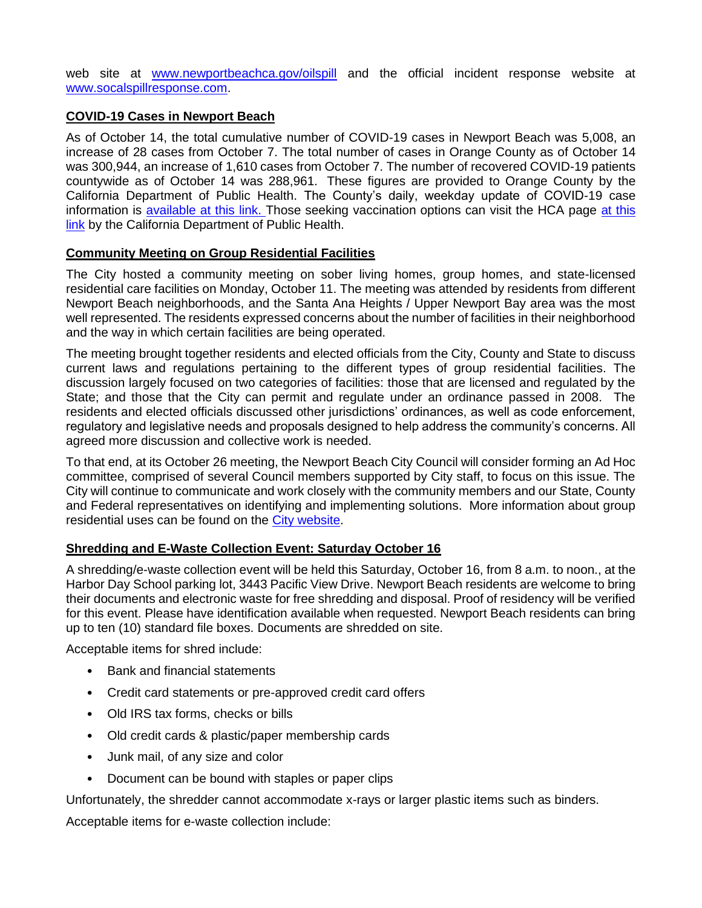web site at [www.newportbeachca.gov/oilspill](http://www.newportbeachca.gov/oilspill) and the official incident response website at [www.socalspillresponse.com.](http://www.socalspillresponse.com/)

#### **COVID-19 Cases in Newport Beach**

As of October 14, the total cumulative number of COVID-19 cases in Newport Beach was 5,008, an increase of 28 cases from October 7. The total number of cases in Orange County as of October 14 was 300,944, an increase of 1,610 cases from October 7. The number of recovered COVID-19 patients countywide as of October 14 was 288,961. These figures are provided to Orange County by the California Department of Public Health. The County's daily, weekday update of COVID-19 case information is [available at this link.](https://ochca.maps.arcgis.com/apps/dashboards/cc4859c8c522496b9f21c451de2fedae) Those seeking vaccination options can visit the HCA page at [this](https://occovid19.ochealthinfo.com/covid-19-vaccine-distribution-channels)  [link](https://occovid19.ochealthinfo.com/covid-19-vaccine-distribution-channels) by the California Department of Public Health.

#### <span id="page-1-0"></span>**Community Meeting on Group Residential Facilities**

The City hosted a community meeting on sober living homes, group homes, and state-licensed residential care facilities on Monday, October 11. The meeting was attended by residents from different Newport Beach neighborhoods, and the Santa Ana Heights / Upper Newport Bay area was the most well represented. The residents expressed concerns about the number of facilities in their neighborhood and the way in which certain facilities are being operated.

The meeting brought together residents and elected officials from the City, County and State to discuss current laws and regulations pertaining to the different types of group residential facilities. The discussion largely focused on two categories of facilities: those that are licensed and regulated by the State; and those that the City can permit and regulate under an ordinance passed in 2008. The residents and elected officials discussed other jurisdictions' ordinances, as well as code enforcement, regulatory and legislative needs and proposals designed to help address the community's concerns. All agreed more discussion and collective work is needed.

To that end, at its October 26 meeting, the Newport Beach City Council will consider forming an Ad Hoc committee, comprised of several Council members supported by City staff, to focus on this issue. The City will continue to communicate and work closely with the community members and our State, County and Federal representatives on identifying and implementing solutions. More information about group residential uses can be found on the [City website.](https://www.newportbeachca.gov/trending/projects-issues/other-important-issues/group-homes)

### **Shredding and E-Waste Collection Event: Saturday October 16**

A shredding/e-waste collection event will be held this Saturday, October 16, from 8 a.m. to noon., at the Harbor Day School parking lot, 3443 Pacific View Drive. Newport Beach residents are welcome to bring their documents and electronic waste for free shredding and disposal. Proof of residency will be verified for this event. Please have identification available when requested. Newport Beach residents can bring up to ten (10) standard file boxes. Documents are shredded on site.

Acceptable items for shred include:

- Bank and financial statements
- Credit card statements or pre-approved credit card offers
- Old IRS tax forms, checks or bills
- Old credit cards & plastic/paper membership cards
- Junk mail, of any size and color
- Document can be bound with staples or paper clips

Unfortunately, the shredder cannot accommodate x-rays or larger plastic items such as binders.

Acceptable items for e-waste collection include: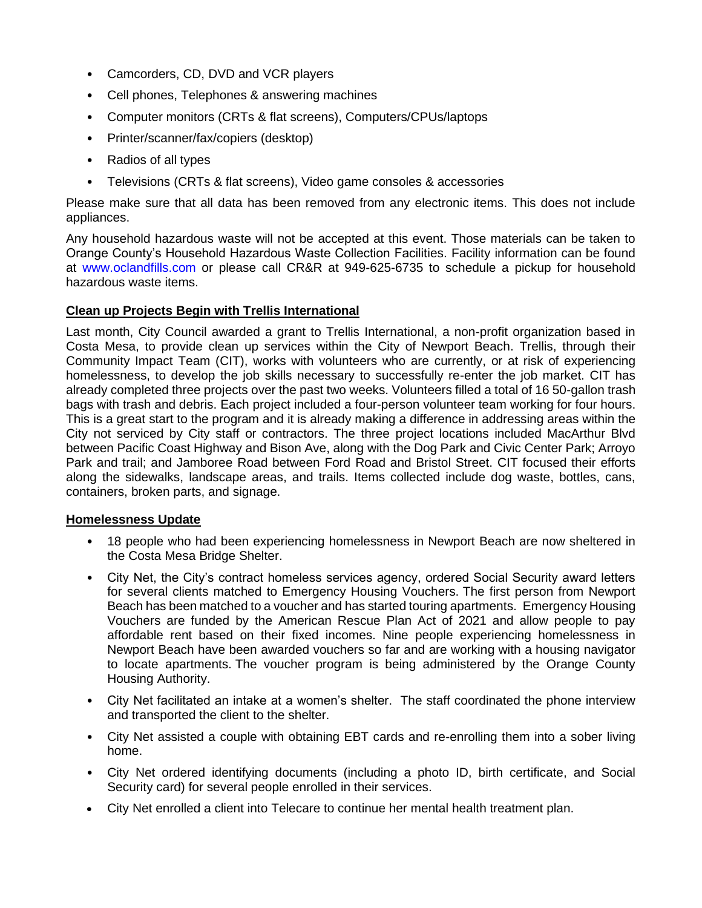- Camcorders, CD, DVD and VCR players
- Cell phones, Telephones & answering machines
- Computer monitors (CRTs & flat screens), Computers/CPUs/laptops
- Printer/scanner/fax/copiers (desktop)
- Radios of all types
- Televisions (CRTs & flat screens), Video game consoles & accessories

Please make sure that all data has been removed from any electronic items. This does not include appliances.

Any household hazardous waste will not be accepted at this event. Those materials can be taken to Orange County's Household Hazardous Waste Collection Facilities. Facility information can be found at [www.oclandfills.com](http://www.oclandfills.com/) or please call CR&R at 949-625-6735 to schedule a pickup for household hazardous waste items.

### **Clean up Projects Begin with Trellis International**

Last month, City Council awarded a grant to Trellis International, a non-profit organization based in Costa Mesa, to provide clean up services within the City of Newport Beach. Trellis, through their Community Impact Team (CIT), works with volunteers who are currently, or at risk of experiencing homelessness, to develop the job skills necessary to successfully re-enter the job market. CIT has already completed three projects over the past two weeks. Volunteers filled a total of 16 50-gallon trash bags with trash and debris. Each project included a four-person volunteer team working for four hours. This is a great start to the program and it is already making a difference in addressing areas within the City not serviced by City staff or contractors. The three project locations included MacArthur Blvd between Pacific Coast Highway and Bison Ave, along with the Dog Park and Civic Center Park; Arroyo Park and trail; and Jamboree Road between Ford Road and Bristol Street. CIT focused their efforts along the sidewalks, landscape areas, and trails. Items collected include dog waste, bottles, cans, containers, broken parts, and signage.

#### **Homelessness Update**

- 18 people who had been experiencing homelessness in Newport Beach are now sheltered in the Costa Mesa Bridge Shelter.
- City Net, the City's contract homeless services agency, ordered Social Security award letters for several clients matched to Emergency Housing Vouchers. The first person from Newport Beach has been matched to a voucher and has started touring apartments. Emergency Housing Vouchers are funded by the American Rescue Plan Act of 2021 and allow people to pay affordable rent based on their fixed incomes. Nine people experiencing homelessness in Newport Beach have been awarded vouchers so far and are working with a housing navigator to locate apartments. The voucher program is being administered by the Orange County Housing Authority.
- City Net facilitated an intake at a women's shelter. The staff coordinated the phone interview and transported the client to the shelter.
- City Net assisted a couple with obtaining EBT cards and re-enrolling them into a sober living home.
- City Net ordered identifying documents (including a photo ID, birth certificate, and Social Security card) for several people enrolled in their services.
- City Net enrolled a client into Telecare to continue her mental health treatment plan.